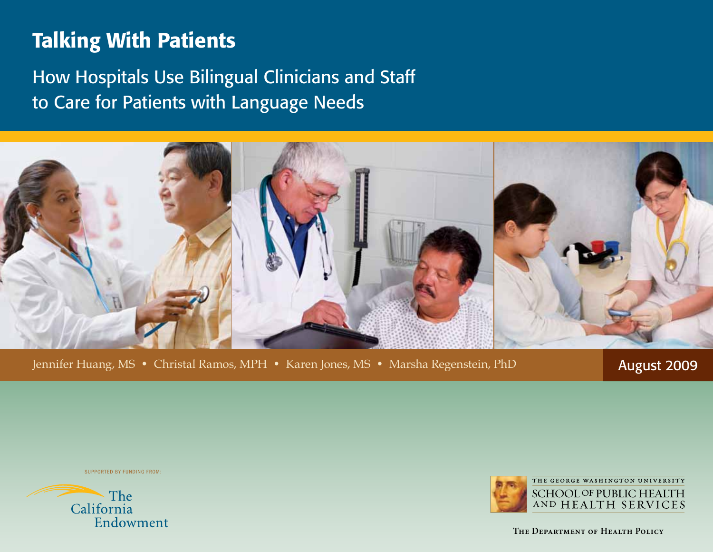# Talking With Patients

How Hospitals Use Bilingual Clinicians and Staff to Care for Patients with Language Needs



Jennifer Huang, MS • Christal Ramos, MPH • Karen Jones, MS • Marsha Regenstein, PhD **August 2009** 

Supported by funding from:





**The Department of Health Policy**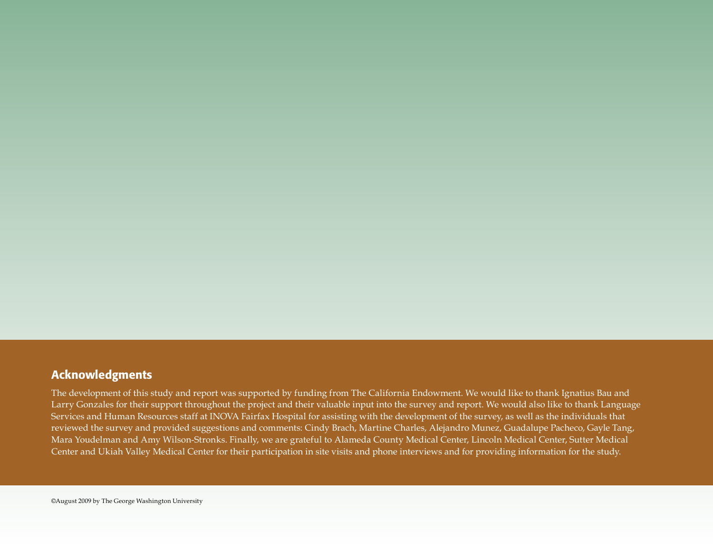# Acknowledgments

The development of this study and report was supported by funding from The California Endowment. We would like to thank Ignatius Bau and Larry Gonzales for their support throughout the project and their valuable input into the survey and report. We would also like to thank Language Services and Human Resources staff at INOVA Fairfax Hospital for assisting with the development of the survey, as well as the individuals that reviewed the survey and provided suggestions and comments: Cindy Brach, Martine Charles, Alejandro Munez, Guadalupe Pacheco, Gayle Tang, Mara Youdelman and Amy Wilson-Stronks. Finally, we are grateful to Alameda County Medical Center, Lincoln Medical Center, Sutter Medical Center and Ukiah Valley Medical Center for their participation in site visits and phone interviews and for providing information for the study.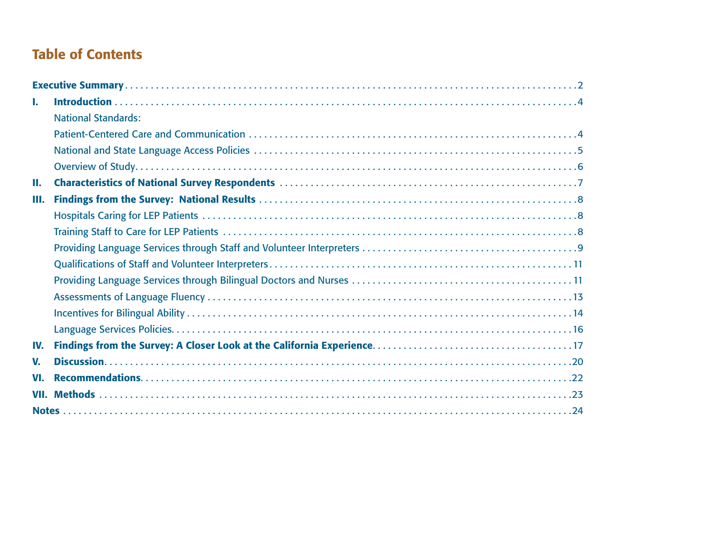# <span id="page-2-0"></span>Table of Contents

| L.   |                            |
|------|----------------------------|
|      | <b>National Standards:</b> |
|      |                            |
|      |                            |
|      |                            |
| Ш.   |                            |
| Ш.   |                            |
|      |                            |
|      |                            |
|      |                            |
|      |                            |
|      |                            |
|      |                            |
|      |                            |
|      |                            |
| IV.  |                            |
| V.   |                            |
| VI.  |                            |
| VII. |                            |
|      |                            |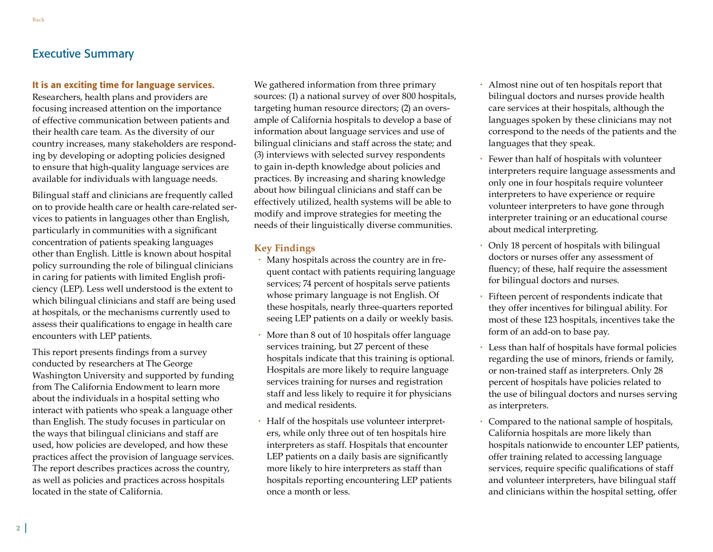# <span id="page-3-0"></span>Executive Summary

#### It is an exciting time for language services.

Researchers, health plans and providers are focusing increased attention on the importance of effective communication between patients and their health care team. As the diversity of our country increases, many stakeholders are responding by developing or adopting policies designed to ensure that high-quality language services are available for individuals with language needs.

Bilingual staff and clinicians are frequently called on to provide health care or health care-related services to patients in languages other than English, particularly in communities with a significant concentration of patients speaking languages other than English. Little is known about hospital policy surrounding the role of bilingual clinicians in caring for patients with limited English proficiency (LEP). Less well understood is the extent to which bilingual clinicians and staff are being used at hospitals, or the mechanisms currently used to assess their qualifications to engage in health care encounters with LEP patients.

This report presents findings from a survey conducted by researchers at The George Washington University and supported by funding from The California Endowment to learn more about the individuals in a hospital setting who interact with patients who speak a language other than English. The study focuses in particular on the ways that bilingual clinicians and staff are used, how policies are developed, and how these practices affect the provision of language services. The report describes practices across the country, as well as policies and practices across hospitals located in the state of California.

We gathered information from three primary sources: (1) a national survey of over 800 hospitals, targeting human resource directors; (2) an oversample of California hospitals to develop a base of information about language services and use of bilingual clinicians and staff across the state; and (3) interviews with selected survey respondents to gain in-depth knowledge about policies and practices. By increasing and sharing knowledge about how bilingual clinicians and staff can be effectively utilized, health systems will be able to modify and improve strategies for meeting the needs of their linguistically diverse communities.

#### **Key Findings**

- Many hospitals across the country are in frequent contact with patients requiring language services; 74 percent of hospitals serve patients whose primary language is not English. Of these hospitals, nearly three-quarters reported seeing LEP patients on a daily or weekly basis.
- More than 8 out of 10 hospitals offer language services training, but 27 percent of these hospitals indicate that this training is optional. Hospitals are more likely to require language services training for nurses and registration staff and less likely to require it for physicians and medical residents.
- Half of the hospitals use volunteer interpreters, while only three out of ten hospitals hire interpreters as staff. Hospitals that encounter LEP patients on a daily basis are significantly more likely to hire interpreters as staff than hospitals reporting encountering LEP patients once a month or less.
- Almost nine out of ten hospitals report that bilingual doctors and nurses provide health care services at their hospitals, although the languages spoken by these clinicians may not correspond to the needs of the patients and the languages that they speak.
- Fewer than half of hospitals with volunteer interpreters require language assessments and only one in four hospitals require volunteer interpreters to have experience or require volunteer interpreters to have gone through interpreter training or an educational course about medical interpreting.
- Only 18 percent of hospitals with bilingual doctors or nurses offer any assessment of fluency; of these, half require the assessment for bilingual doctors and nurses.
- Fifteen percent of respondents indicate that they offer incentives for bilingual ability. For most of these 123 hospitals, incentives take the form of an add-on to base pay.
- Less than half of hospitals have formal policies regarding the use of minors, friends or family, or non-trained staff as interpreters. Only 28 percent of hospitals have policies related to the use of bilingual doctors and nurses serving as interpreters.
- Compared to the national sample of hospitals, California hospitals are more likely than hospitals nationwide to encounter LEP patients, offer training related to accessing language services, require specific qualifications of staff and volunteer interpreters, have bilingual staff and clinicians within the hospital setting, offer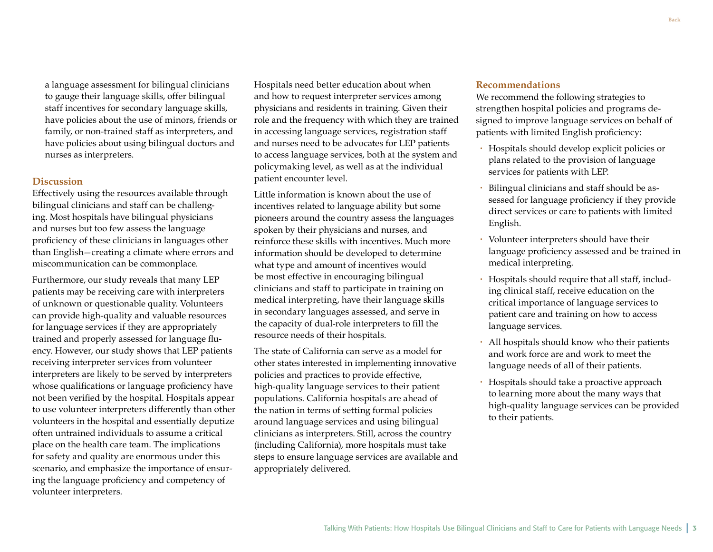a language assessment for bilingual clinicians to gauge their language skills, offer bilingual staff incentives for secondary language skills, have policies about the use of minors, friends or family, or non-trained staff as interpreters, and have policies about using bilingual doctors and nurses as interpreters.

#### **Discussion**

Effectively using the resources available through bilingual clinicians and staff can be challenging. Most hospitals have bilingual physicians and nurses but too few assess the language proficiency of these clinicians in languages other than English—creating a climate where errors and miscommunication can be commonplace.

Furthermore, our study reveals that many LEP patients may be receiving care with interpreters of unknown or questionable quality. Volunteers can provide high-quality and valuable resources for language services if they are appropriately trained and properly assessed for language fluency. However, our study shows that LEP patients receiving interpreter services from volunteer interpreters are likely to be served by interpreters whose qualifications or language proficiency have not been verified by the hospital. Hospitals appear to use volunteer interpreters differently than other volunteers in the hospital and essentially deputize often untrained individuals to assume a critical place on the health care team. The implications for safety and quality are enormous under this scenario, and emphasize the importance of ensuring the language proficiency and competency of volunteer interpreters.

Hospitals need better education about when and how to request interpreter services among physicians and residents in training. Given their role and the frequency with which they are trained in accessing language services, registration staff and nurses need to be advocates for LEP patients to access language services, both at the system and policymaking level, as well as at the individual patient encounter level.

Little information is known about the use of incentives related to language ability but some pioneers around the country assess the languages spoken by their physicians and nurses, and reinforce these skills with incentives. Much more information should be developed to determine what type and amount of incentives would be most effective in encouraging bilingual clinicians and staff to participate in training on medical interpreting, have their language skills in secondary languages assessed, and serve in the capacity of dual-role interpreters to fill the resource needs of their hospitals.

The state of California can serve as a model for other states interested in implementing innovative policies and practices to provide effective, high-quality language services to their patient populations. California hospitals are ahead of the nation in terms of setting formal policies around language services and using bilingual clinicians as interpreters. Still, across the country (including California), more hospitals must take steps to ensure language services are available and appropriately delivered.

#### **Recommendations**

We recommend the following strategies to strengthen hospital policies and programs designed to improve language services on behalf of patients with limited English proficiency:

- Hospitals should develop explicit policies or plans related to the provision of language services for patients with LEP.
- Bilingual clinicians and staff should be assessed for language proficiency if they provide direct services or care to patients with limited English.
- Volunteer interpreters should have their language proficiency assessed and be trained in medical interpreting.
- Hospitals should require that all staff, including clinical staff, receive education on the critical importance of language services to patient care and training on how to access language services.
- All hospitals should know who their patients and work force are and work to meet the language needs of all of their patients.
- Hospitals should take a proactive approach to learning more about the many ways that high-quality language services can be provided to their patients.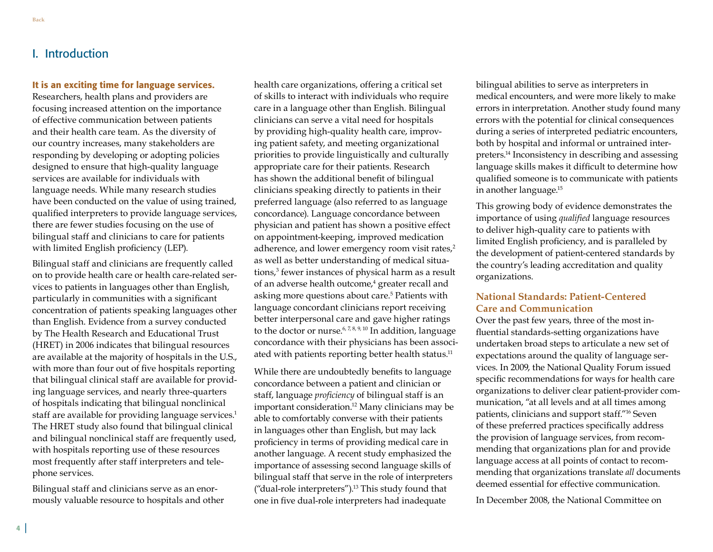# <span id="page-5-0"></span>I. Introduction

#### It is an exciting time for language services.

Researchers, health plans and providers are focusing increased attention on the importance of effective communication between patients and their health care team. As the diversity of our country increases, many stakeholders are responding by developing or adopting policies designed to ensure that high-quality language services are available for individuals with language needs. While many research studies have been conducted on the value of using trained, qualified interpreters to provide language services, there are fewer studies focusing on the use of bilingual staff and clinicians to care for patients with limited English proficiency (LEP).

Bilingual staff and clinicians are frequently called on to provide health care or health care-related services to patients in languages other than English, particularly in communities with a significant concentration of patients speaking languages other than English. Evidence from a survey conducted by The Health Research and Educational Trust (HRET) in 2006 indicates that bilingual resources are available at the majority of hospitals in the U.S., with more than four out of five hospitals reporting that bilingual clinical staff are available for providing language services, and nearly three-quarters of hospitals indicating that bilingual nonclinical staff are available for providing language services.<sup>1</sup> The HRET study also found that bilingual clinical and bilingual nonclinical staff are frequently used, with hospitals reporting use of these resources most frequently after staff interpreters and telephone services.

Bilingual staff and clinicians serve as an enormously valuable resource to hospitals and other health care organizations, offering a critical set of skills to interact with individuals who require care in a language other than English. Bilingual clinicians can serve a vital need for hospitals by providing high-quality health care, improving patient safety, and meeting organizational priorities to provide linguistically and culturally appropriate care for their patients. Research has shown the additional benefit of bilingual clinicians speaking directly to patients in their preferred language (also referred to as language concordance). Language concordance between physician and patient has shown a positive effect on appointment-keeping, improved medication adherence, and lower emergency room visit rates,<sup>2</sup> as well as better understanding of medical situations,<sup>3</sup> fewer instances of physical harm as a result of an adverse health outcome,<sup>4</sup> greater recall and asking more questions about care.<sup>5</sup> Patients with language concordant clinicians report receiving better interpersonal care and gave higher ratings to the doctor or nurse.<sup>6, 7, 8, 9, 10</sup> In addition, language concordance with their physicians has been associated with patients reporting better health status.<sup>11</sup>

While there are undoubtedly benefits to language concordance between a patient and clinician or staff, language *proficiency* of bilingual staff is an important consideration.<sup>12</sup> Many clinicians may be able to comfortably converse with their patients in languages other than English, but may lack proficiency in terms of providing medical care in another language. A recent study emphasized the importance of assessing second language skills of bilingual staff that serve in the role of interpreters ("dual-role interpreters").13 This study found that one in five dual-role interpreters had inadequate

bilingual abilities to serve as interpreters in medical encounters, and were more likely to make errors in interpretation. Another study found many errors with the potential for clinical consequences during a series of interpreted pediatric encounters, both by hospital and informal or untrained interpreters.14 Inconsistency in describing and assessing language skills makes it difficult to determine how qualified someone is to communicate with patients in another language.15

This growing body of evidence demonstrates the importance of using *qualified* language resources to deliver high-quality care to patients with limited English proficiency, and is paralleled by the development of patient-centered standards by the country's leading accreditation and quality organizations.

#### **National Standards: Patient-Centered Care and Communication**

Over the past few years, three of the most influential standards-setting organizations have undertaken broad steps to articulate a new set of expectations around the quality of language services. In 2009, the National Quality Forum issued specific recommendations for ways for health care organizations to deliver clear patient-provider communication, "at all levels and at all times among patients, clinicians and support staff."16 Seven of these preferred practices specifically address the provision of language services, from recommending that organizations plan for and provide language access at all points of contact to recommending that organizations translate *all* documents deemed essential for effective communication.

In December 2008, the National Committee on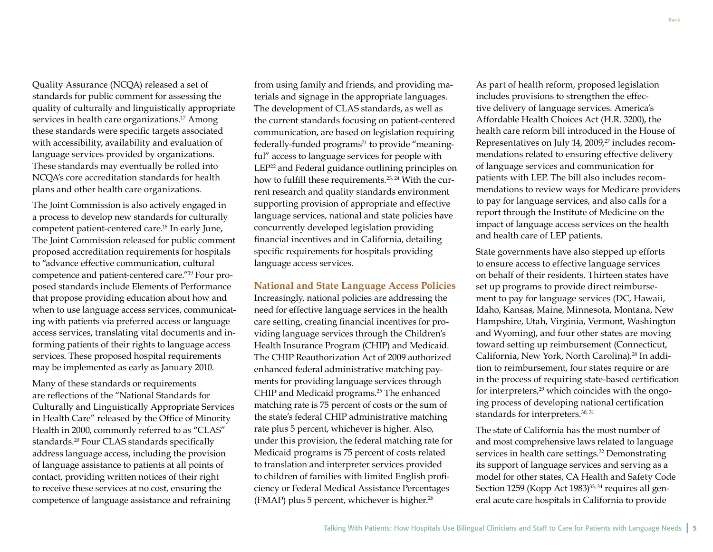from using family and friends, and providing materials and signage in the appropriate languages. The development of CLAS standards, as well as the current standards focusing on patient-centered communication, are based on legislation requiring federally-funded programs<sup>21</sup> to provide "meaningful" access to language services for people with LEP<sup>22</sup> and Federal guidance outlining principles on how to fulfill these requirements.<sup>23, 24</sup> With the current research and quality standards environment

supporting provision of appropriate and effective language services, national and state policies have concurrently developed legislation providing financial incentives and in California, detailing specific requirements for hospitals providing language access services.

#### **National and State Language Access Policies**

Increasingly, national policies are addressing the need for effective language services in the health care setting, creating financial incentives for providing language services through the Children's Health Insurance Program (CHIP) and Medicaid. The CHIP Reauthorization Act of 2009 authorized enhanced federal administrative matching payments for providing language services through CHIP and Medicaid programs.<sup>25</sup> The enhanced matching rate is 75 percent of costs or the sum of the state's federal CHIP administrative matching rate plus 5 percent, whichever is higher. Also, under this provision, the federal matching rate for Medicaid programs is 75 percent of costs related to translation and interpreter services provided to children of families with limited English proficiency or Federal Medical Assistance Percentages (FMAP) plus 5 percent, whichever is higher. $26$ 

As part of health reform, proposed legislation includes provisions to strengthen the effective delivery of language services. America's Affordable Health Choices Act (H.R. 3200), the health care reform bill introduced in the House of Representatives on July 14, 2009,<sup>27</sup> includes recommendations related to ensuring effective delivery of language services and communication for patients with LEP. The bill also includes recommendations to review ways for Medicare providers to pay for language services, and also calls for a report through the Institute of Medicine on the impact of language access services on the health and health care of LEP patients.

State governments have also stepped up efforts to ensure access to effective language services on behalf of their residents. Thirteen states have set up programs to provide direct reimbursement to pay for language services (DC, Hawaii, Idaho, Kansas, Maine, Minnesota, Montana, New Hampshire, Utah, Virginia, Vermont, Washington and Wyoming), and four other states are moving toward setting up reimbursement (Connecticut, California, New York, North Carolina).<sup>28</sup> In addition to reimbursement, four states require or are in the process of requiring state-based certification for interpreters,29 which coincides with the ongoing process of developing national certification standards for interpreters.<sup>30, 31</sup>

The state of California has the most number of and most comprehensive laws related to language services in health care settings.<sup>32</sup> Demonstrating its support of language services and serving as a model for other states, CA Health and Safety Code Section 1259 (Kopp Act 1983)<sup>33, 34</sup> requires all general acute care hospitals in California to provide

Quality Assurance (NCQA) released a set of standards for public comment for assessing the quality of culturally and linguistically appropriate services in health care organizations.<sup>17</sup> Among these standards were specific targets associated with accessibility, availability and evaluation of language services provided by organizations. These standards may eventually be rolled into NCQA's core accreditation standards for health plans and other health care organizations.

The Joint Commission is also actively engaged in a process to develop new standards for culturally competent patient-centered care.18 In early June, The Joint Commission released for public comment proposed accreditation requirements for hospitals to "advance effective communication, cultural competence and patient-centered care."19 Four proposed standards include Elements of Performance that propose providing education about how and when to use language access services, communicating with patients via preferred access or language access services, translating vital documents and informing patients of their rights to language access services. These proposed hospital requirements may be implemented as early as January 2010.

Many of these standards or requirements are reflections of the "National Standards for Culturally and Linguistically Appropriate Services in Health Care" released by the Office of Minority Health in 2000, commonly referred to as "CLAS" standards.20 Four CLAS standards specifically address language access, including the provision of language assistance to patients at all points of contact, providing written notices of their right to receive these services at no cost, ensuring the competence of language assistance and refraining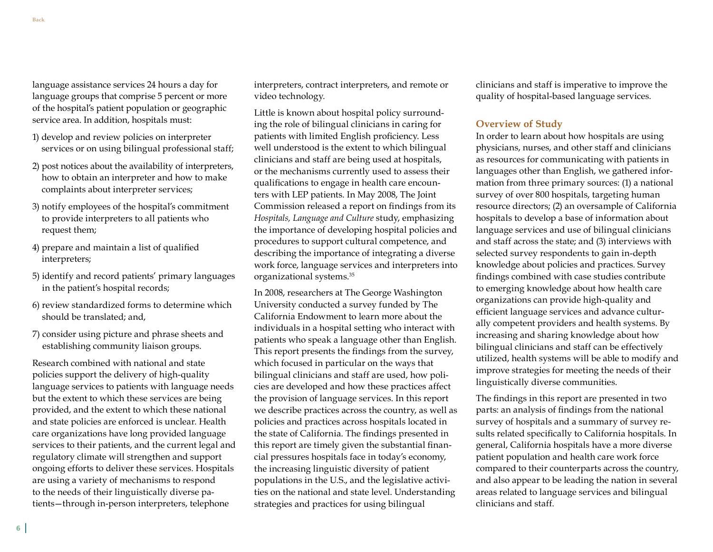language assistance services 24 hours a day for language groups that comprise 5 percent or more of the hospital's patient population or geographic service area. In addition, hospitals must:

- 1) develop and review policies on interpreter services or on using bilingual professional staff;
- 2) post notices about the availability of interpreters, how to obtain an interpreter and how to make complaints about interpreter services;
- 3) notify employees of the hospital's commitment to provide interpreters to all patients who request them;
- 4) prepare and maintain a list of qualified interpreters;
- 5) identify and record patients' primary languages in the patient's hospital records;
- 6) review standardized forms to determine which should be translated; and,
- 7) consider using picture and phrase sheets and establishing community liaison groups.

Research combined with national and state policies support the delivery of high-quality language services to patients with language needs but the extent to which these services are being provided, and the extent to which these national and state policies are enforced is unclear. Health care organizations have long provided language services to their patients, and the current legal and regulatory climate will strengthen and support ongoing efforts to deliver these services. Hospitals are using a variety of mechanisms to respond to the needs of their linguistically diverse patients—through in-person interpreters, telephone

interpreters, contract interpreters, and remote or video technology.

Little is known about hospital policy surrounding the role of bilingual clinicians in caring for patients with limited English proficiency. Less well understood is the extent to which bilingual clinicians and staff are being used at hospitals, or the mechanisms currently used to assess their qualifications to engage in health care encounters with LEP patients. In May 2008, The Joint Commission released a report on findings from its *Hospitals, Language and Culture* study, emphasizing the importance of developing hospital policies and procedures to support cultural competence, and describing the importance of integrating a diverse work force, language services and interpreters into organizational systems.35

In 2008, researchers at The George Washington University conducted a survey funded by The California Endowment to learn more about the individuals in a hospital setting who interact with patients who speak a language other than English. This report presents the findings from the survey, which focused in particular on the ways that bilingual clinicians and staff are used, how policies are developed and how these practices affect the provision of language services. In this report we describe practices across the country, as well as policies and practices across hospitals located in the state of California. The findings presented in this report are timely given the substantial financial pressures hospitals face in today's economy, the increasing linguistic diversity of patient populations in the U.S., and the legislative activities on the national and state level. Understanding strategies and practices for using bilingual

clinicians and staff is imperative to improve the quality of hospital-based language services.

#### **Overview of Study**

In order to learn about how hospitals are using physicians, nurses, and other staff and clinicians as resources for communicating with patients in languages other than English, we gathered information from three primary sources: (1) a national survey of over 800 hospitals, targeting human resource directors; (2) an oversample of California hospitals to develop a base of information about language services and use of bilingual clinicians and staff across the state; and (3) interviews with selected survey respondents to gain in-depth knowledge about policies and practices. Survey findings combined with case studies contribute to emerging knowledge about how health care organizations can provide high-quality and efficient language services and advance culturally competent providers and health systems. By increasing and sharing knowledge about how bilingual clinicians and staff can be effectively utilized, health systems will be able to modify and improve strategies for meeting the needs of their linguistically diverse communities.

The findings in this report are presented in two parts: an analysis of findings from the national survey of hospitals and a summary of survey results related specifically to California hospitals. In general, California hospitals have a more diverse patient population and health care work force compared to their counterparts across the country, and also appear to be leading the nation in several areas related to language services and bilingual clinicians and staff.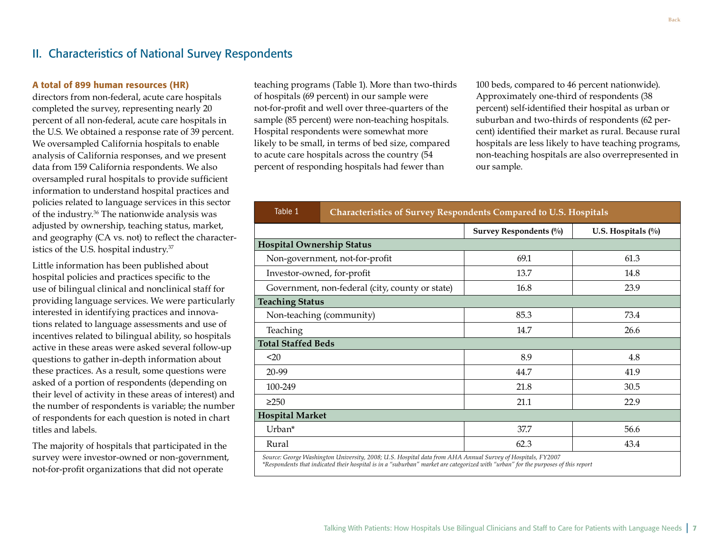# <span id="page-8-0"></span>II. Characteristics of National Survey Respondents

#### A total of 899 human resources (HR)

directors from non-federal, acute care hospitals completed the survey, representing nearly 20 percent of all non-federal, acute care hospitals in the U.S. We obtained a response rate of 39 percent. We oversampled California hospitals to enable analysis of California responses, and we present data from 159 California respondents. We also oversampled rural hospitals to provide sufficient information to understand hospital practices and policies related to language services in this sector of the industry.36 The nationwide analysis was adjusted by ownership, teaching status, market, and geography (CA vs. not) to reflect the characteristics of the U.S. hospital industry.<sup>37</sup>

Little information has been published about hospital policies and practices specific to the use of bilingual clinical and nonclinical staff for providing language services. We were particularly interested in identifying practices and innovations related to language assessments and use of incentives related to bilingual ability, so hospitals active in these areas were asked several follow-up questions to gather in-depth information about these practices. As a result, some questions were asked of a portion of respondents (depending on their level of activity in these areas of interest) and the number of respondents is variable; the number of respondents for each question is noted in chart titles and labels.

The majority of hospitals that participated in the survey were investor-owned or non-government, not-for-profit organizations that did not operate

teaching programs (Table 1). More than two-thirds of hospitals (69 percent) in our sample were not-for-profit and well over three-quarters of the sample (85 percent) were non-teaching hospitals. Hospital respondents were somewhat more likely to be small, in terms of bed size, compared to acute care hospitals across the country (54 percent of responding hospitals had fewer than

100 beds, compared to 46 percent nationwide). Approximately one-third of respondents (38 percent) self-identified their hospital as urban or suburban and two-thirds of respondents (62 percent) identified their market as rural. Because rural hospitals are less likely to have teaching programs, non-teaching hospitals are also overrepresented in our sample.

| Table 1 | Characteristics of Survey Respondents Compared to U.S. Hospitals |  |
|---------|------------------------------------------------------------------|--|
|         |                                                                  |  |

|                                                                                                                                                                                                                                                 | Survey Respondents (%) | U.S. Hospitals $(\%)$ |  |  |  |
|-------------------------------------------------------------------------------------------------------------------------------------------------------------------------------------------------------------------------------------------------|------------------------|-----------------------|--|--|--|
| <b>Hospital Ownership Status</b>                                                                                                                                                                                                                |                        |                       |  |  |  |
| Non-government, not-for-profit                                                                                                                                                                                                                  | 69.1                   | 61.3                  |  |  |  |
| Investor-owned, for-profit                                                                                                                                                                                                                      | 13.7                   | 14.8                  |  |  |  |
| Government, non-federal (city, county or state)                                                                                                                                                                                                 | 16.8                   | 23.9                  |  |  |  |
| <b>Teaching Status</b>                                                                                                                                                                                                                          |                        |                       |  |  |  |
| Non-teaching (community)                                                                                                                                                                                                                        | 85.3                   | 73.4                  |  |  |  |
| Teaching                                                                                                                                                                                                                                        | 14.7                   | 26.6                  |  |  |  |
| <b>Total Staffed Beds</b>                                                                                                                                                                                                                       |                        |                       |  |  |  |
| $20$                                                                                                                                                                                                                                            | 8.9                    | 4.8                   |  |  |  |
| 20-99                                                                                                                                                                                                                                           | 44.7                   | 41.9                  |  |  |  |
| 100-249                                                                                                                                                                                                                                         | 21.8                   | 30.5                  |  |  |  |
| $\geq$ 250                                                                                                                                                                                                                                      | 21.1                   | 22.9                  |  |  |  |
| <b>Hospital Market</b>                                                                                                                                                                                                                          |                        |                       |  |  |  |
| Urban*                                                                                                                                                                                                                                          | 37.7                   | 56.6                  |  |  |  |
| Rural                                                                                                                                                                                                                                           | 62.3                   | 43.4                  |  |  |  |
| Source: George Washington University, 2008; U.S. Hospital data from AHA Annual Survey of Hospitals, FY2007<br>*Respondents that indicated their hospital is in a "suburban" market are categorized with "urban" for the purposes of this report |                        |                       |  |  |  |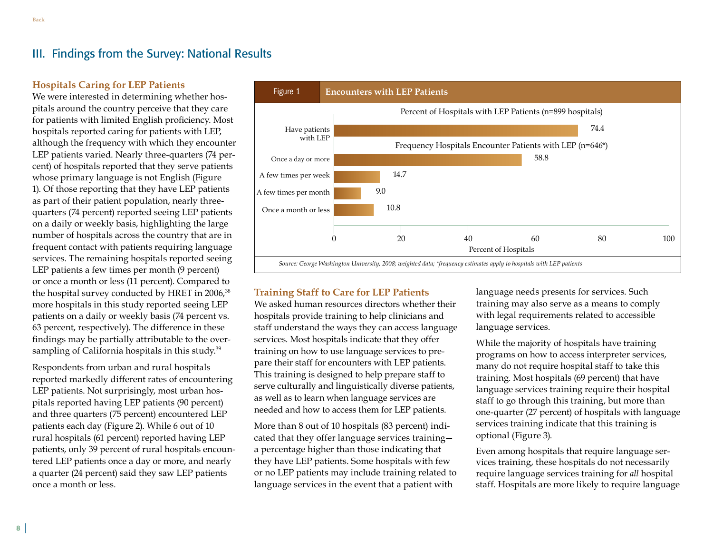<span id="page-9-0"></span>**[Back](#page-2-0)**

### III. Findings from the Survey: National Results

#### **Hospitals Caring for LEP Patients**

We were interested in determining whether hospitals around the country perceive that they care for patients with limited English proficiency. Most hospitals reported caring for patients with LEP, although the frequency with which they encounter LEP patients varied. Nearly three-quarters (74 percent) of hospitals reported that they serve patients whose primary language is not English (Figure 1). Of those reporting that they have LEP patients as part of their patient population, nearly threequarters (74 percent) reported seeing LEP patients on a daily or weekly basis, highlighting the large number of hospitals across the country that are in frequent contact with patients requiring language services. The remaining hospitals reported seeing LEP patients a few times per month (9 percent) or once a month or less (11 percent). Compared to the hospital survey conducted by HRET in 2006,<sup>38</sup> more hospitals in this study reported seeing LEP patients on a daily or weekly basis (74 percent vs. 63 percent, respectively). The difference in these findings may be partially attributable to the oversampling of California hospitals in this study.<sup>39</sup>

Respondents from urban and rural hospitals reported markedly different rates of encountering LEP patients. Not surprisingly, most urban hospitals reported having LEP patients (90 percent) and three quarters (75 percent) encountered LEP patients each day (Figure 2). While 6 out of 10 rural hospitals (61 percent) reported having LEP patients, only 39 percent of rural hospitals encountered LEP patients once a day or more, and nearly a quarter (24 percent) said they saw LEP patients once a month or less.



### **Training Staff to Care for LEP Patients**

We asked human resources directors whether their hospitals provide training to help clinicians and staff understand the ways they can access language services. Most hospitals indicate that they offer training on how to use language services to prepare their staff for encounters with LEP patients. This training is designed to help prepare staff to serve culturally and linguistically diverse patients, as well as to learn when language services are needed and how to access them for LEP patients.

More than 8 out of 10 hospitals (83 percent) indicated that they offer language services training a percentage higher than those indicating that they have LEP patients. Some hospitals with few or no LEP patients may include training related to language services in the event that a patient with

language needs presents for services. Such training may also serve as a means to comply with legal requirements related to accessible language services.

While the majority of hospitals have training programs on how to access interpreter services, many do not require hospital staff to take this training. Most hospitals (69 percent) that have language services training require their hospital staff to go through this training, but more than one-quarter (27 percent) of hospitals with language services training indicate that this training is optional (Figure 3).

Even among hospitals that require language services training, these hospitals do not necessarily require language services training for *all* hospital staff. Hospitals are more likely to require language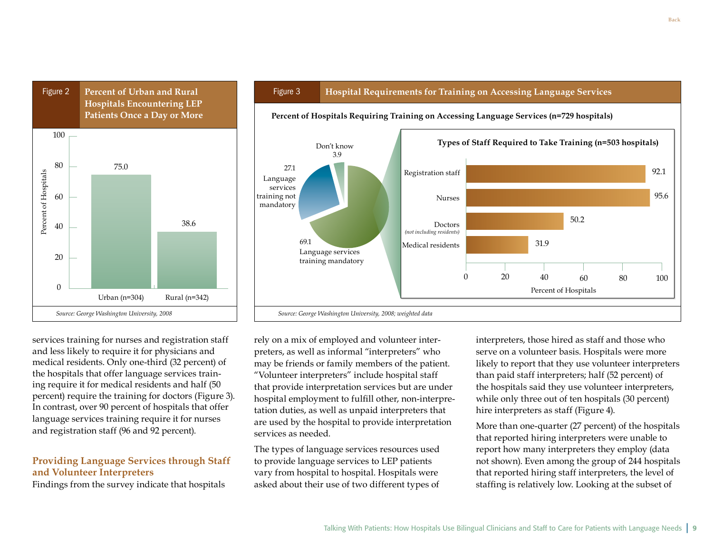

#### Figure 3 **Hospital Requirements for Training on Accessing Language Services**

**Percent of Hospitals Requiring Training on Accessing Language Services (n=729 hospitals)**



services training for nurses and registration staff and less likely to require it for physicians and medical residents. Only one-third (32 percent) of the hospitals that offer language services training require it for medical residents and half (50 percent) require the training for doctors (Figure 3). In contrast, over 90 percent of hospitals that offer language services training require it for nurses and registration staff (96 and 92 percent).

### **Providing Language Services through Staff and Volunteer Interpreters**

Findings from the survey indicate that hospitals

rely on a mix of employed and volunteer interpreters, as well as informal "interpreters" who may be friends or family members of the patient. "Volunteer interpreters" include hospital staff that provide interpretation services but are under hospital employment to fulfill other, non-interpretation duties, as well as unpaid interpreters that are used by the hospital to provide interpretation services as needed.

The types of language services resources used to provide language services to LEP patients vary from hospital to hospital. Hospitals were asked about their use of two different types of

interpreters, those hired as staff and those who serve on a volunteer basis. Hospitals were more likely to report that they use volunteer interpreters than paid staff interpreters; half (52 percent) of the hospitals said they use volunteer interpreters, while only three out of ten hospitals (30 percent) hire interpreters as staff (Figure 4).

More than one-quarter (27 percent) of the hospitals that reported hiring interpreters were unable to report how many interpreters they employ (data not shown). Even among the group of 244 hospitals that reported hiring staff interpreters, the level of staffing is relatively low. Looking at the subset of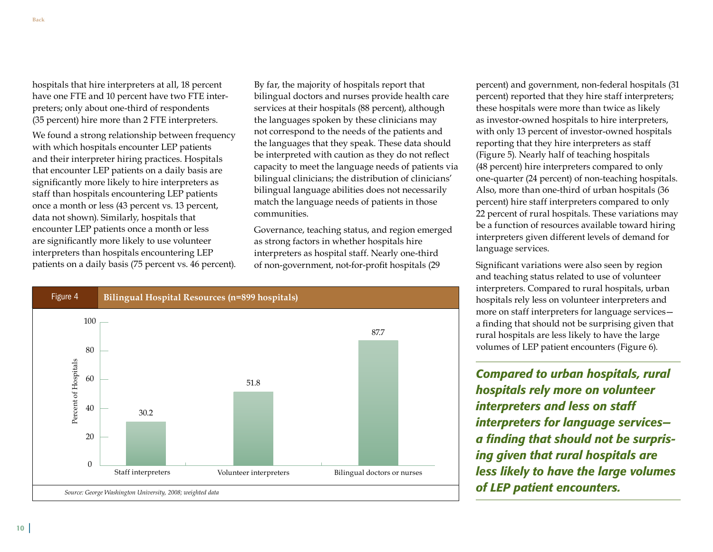hospitals that hire interpreters at all, 18 percent have one FTE and 10 percent have two FTE interpreters; only about one-third of respondents (35 percent) hire more than 2 FTE interpreters.

We found a strong relationship between frequency with which hospitals encounter LEP patients and their interpreter hiring practices. Hospitals that encounter LEP patients on a daily basis are significantly more likely to hire interpreters as staff than hospitals encountering LEP patients once a month or less (43 percent vs. 13 percent, data not shown). Similarly, hospitals that encounter LEP patients once a month or less are significantly more likely to use volunteer interpreters than hospitals encountering LEP patients on a daily basis (75 percent vs. 46 percent).

By far, the majority of hospitals report that bilingual doctors and nurses provide health care services at their hospitals (88 percent), although the languages spoken by these clinicians may not correspond to the needs of the patients and the languages that they speak. These data should be interpreted with caution as they do not reflect capacity to meet the language needs of patients via bilingual clinicians; the distribution of clinicians' bilingual language abilities does not necessarily match the language needs of patients in those communities.

Governance, teaching status, and region emerged as strong factors in whether hospitals hire interpreters as hospital staff. Nearly one-third of non-government, not-for-profit hospitals (29



percent) and government, non-federal hospitals (31 percent) reported that they hire staff interpreters; these hospitals were more than twice as likely as investor-owned hospitals to hire interpreters, with only 13 percent of investor-owned hospitals reporting that they hire interpreters as staff (Figure 5). Nearly half of teaching hospitals (48 percent) hire interpreters compared to only one-quarter (24 percent) of non-teaching hospitals. Also, more than one-third of urban hospitals (36 percent) hire staff interpreters compared to only 22 percent of rural hospitals. These variations may be a function of resources available toward hiring interpreters given different levels of demand for language services.

Significant variations were also seen by region and teaching status related to use of volunteer interpreters. Compared to rural hospitals, urban hospitals rely less on volunteer interpreters and more on staff interpreters for language services a finding that should not be surprising given that rural hospitals are less likely to have the large volumes of LEP patient encounters (Figure 6).

*Compared to urban hospitals, rural hospitals rely more on volunteer interpreters and less on staff interpreters for language services a finding that should not be surprising given that rural hospitals are less likely to have the large volumes of LEP patient encounters.*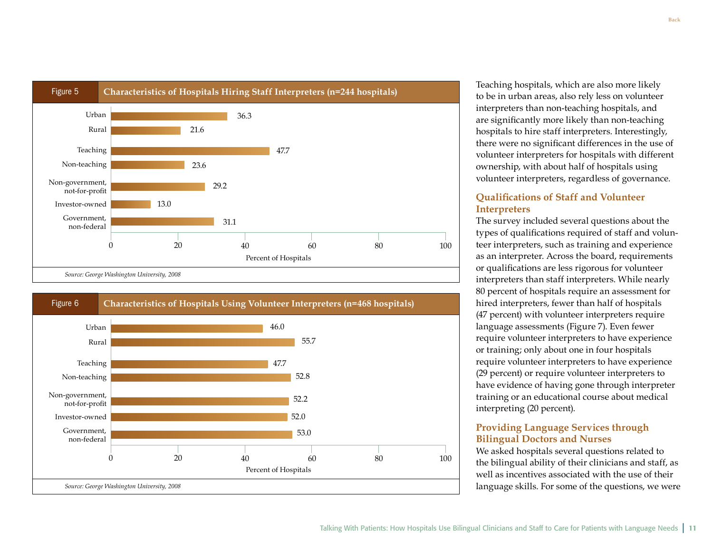



Teaching hospitals, which are also more likely to be in urban areas, also rely less on volunteer interpreters than non-teaching hospitals, and are significantly more likely than non-teaching hospitals to hire staff interpreters. Interestingly, there were no significant differences in the use of volunteer interpreters for hospitals with different ownership, with about half of hospitals using volunteer interpreters, regardless of governance.

### **Qualifications of Staff and Volunteer Interpreters**

The survey included several questions about the types of qualifications required of staff and volunteer interpreters, such as training and experience as an interpreter. Across the board, requirements or qualifications are less rigorous for volunteer interpreters than staff interpreters. While nearly 80 percent of hospitals require an assessment for hired interpreters, fewer than half of hospitals (47 percent) with volunteer interpreters require language assessments (Figure 7). Even fewer require volunteer interpreters to have experience or training; only about one in four hospitals require volunteer interpreters to have experience (29 percent) or require volunteer interpreters to have evidence of having gone through interpreter training or an educational course about medical interpreting (20 percent).

#### **Providing Language Services through Bilingual Doctors and Nurses**

We asked hospitals several questions related to the bilingual ability of their clinicians and staff, as well as incentives associated with the use of their language skills. For some of the questions, we were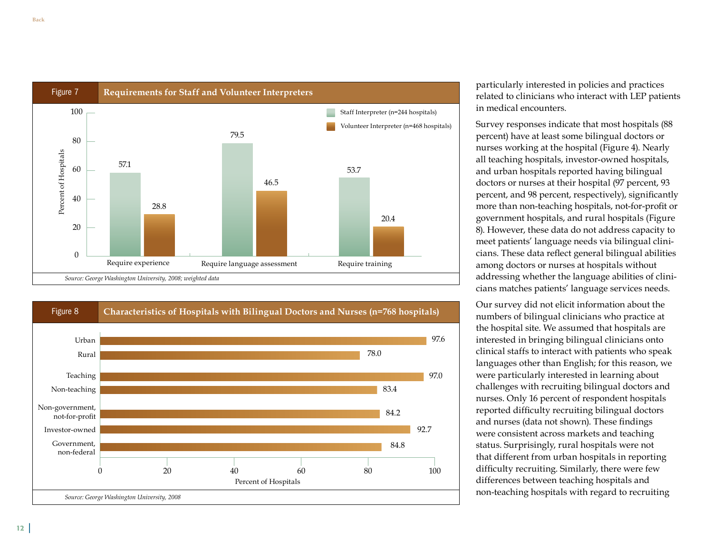



particularly interested in policies and practices related to clinicians who interact with LEP patients in medical encounters.

Survey responses indicate that most hospitals (88 percent) have at least some bilingual doctors or nurses working at the hospital (Figure 4). Nearly all teaching hospitals, investor-owned hospitals, and urban hospitals reported having bilingual doctors or nurses at their hospital (97 percent, 93 percent, and 98 percent, respectively), significantly more than non-teaching hospitals, not-for-profit or government hospitals, and rural hospitals (Figure 8). However, these data do not address capacity to meet patients' language needs via bilingual clinicians. These data reflect general bilingual abilities among doctors or nurses at hospitals without addressing whether the language abilities of clinicians matches patients' language services needs.

Our survey did not elicit information about the numbers of bilingual clinicians who practice at the hospital site. We assumed that hospitals are interested in bringing bilingual clinicians onto clinical staffs to interact with patients who speak languages other than English; for this reason, we were particularly interested in learning about challenges with recruiting bilingual doctors and nurses. Only 16 percent of respondent hospitals reported difficulty recruiting bilingual doctors and nurses (data not shown). These findings were consistent across markets and teaching status. Surprisingly, rural hospitals were not that different from urban hospitals in reporting difficulty recruiting. Similarly, there were few differences between teaching hospitals and non-teaching hospitals with regard to recruiting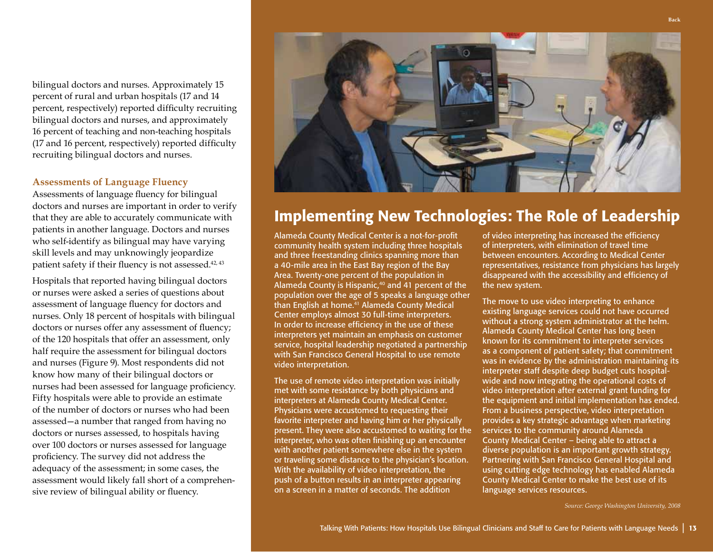bilingual doctors and nurses. Approximately 15 percent of rural and urban hospitals (17 and 14 percent, respectively) reported difficulty recruiting bilingual doctors and nurses, and approximately 16 percent of teaching and non-teaching hospitals (17 and 16 percent, respectively) reported difficulty recruiting bilingual doctors and nurses.

#### **Assessments of Language Fluency**

Assessments of language fluency for bilingual doctors and nurses are important in order to verify that they are able to accurately communicate with patients in another language. Doctors and nurses who self-identify as bilingual may have varying skill levels and may unknowingly jeopardize patient safety if their fluency is not assessed.<sup>42, 43</sup>

Hospitals that reported having bilingual doctors or nurses were asked a series of questions about assessment of language fluency for doctors and nurses. Only 18 percent of hospitals with bilingual doctors or nurses offer any assessment of fluency; of the 120 hospitals that offer an assessment, only half require the assessment for bilingual doctors and nurses (Figure 9). Most respondents did not know how many of their bilingual doctors or nurses had been assessed for language proficiency. Fifty hospitals were able to provide an estimate of the number of doctors or nurses who had been assessed—a number that ranged from having no doctors or nurses assessed, to hospitals having over 100 doctors or nurses assessed for language proficiency. The survey did not address the adequacy of the assessment; in some cases, the assessment would likely fall short of a comprehensive review of bilingual ability or fluency.



# Implementing New Technologies: The Role of Leadership

Alameda County Medical Center is a not-for-profit community health system including three hospitals and three freestanding clinics spanning more than a 40-mile area in the East Bay region of the Bay Area. Twenty-one percent of the population in Alameda County is Hispanic,<sup>40</sup> and 41 percent of the population over the age of 5 speaks a language other than English at home. 41 Alameda County Medical Center employs almost 30 full-time interpreters. In order to increase efficiency in the use of these interpreters yet maintain an emphasis on customer service, hospital leadership negotiated a partnership with San Francisco General Hospital to use remote video interpretation.

The use of remote video interpretation was initially met with some resistance by both physicians and interpreters at Alameda County Medical Center. Physicians were accustomed to requesting their favorite interpreter and having him or her physically present. They were also accustomed to waiting for the interpreter, who was often finishing up an encounter with another patient somewhere else in the system or traveling some distance to the physician's location. With the availability of video interpretation, the push of a button results in an interpreter appearing on a screen in a matter of seconds. The addition

of video interpreting has increased the efficiency of interpreters, with elimination of travel time between encounters. According to Medical Center representatives, resistance from physicians has largely disappeared with the accessibility and efficiency of the new system.

The move to use video interpreting to enhance existing language services could not have occurred without a strong system administrator at the helm. Alameda County Medical Center has long been known for its commitment to interpreter services as a component of patient safety; that commitment was in evidence by the administration maintaining its interpreter staff despite deep budget cuts hospitalwide and now integrating the operational costs of video interpretation after external grant funding for the equipment and initial implementation has ended. From a business perspective, video interpretation provides a key strategic advantage when marketing services to the community around Alameda County Medical Center – being able to attract a diverse population is an important growth strategy. Partnering with San Francisco General Hospital and using cutting edge technology has enabled Alameda County Medical Center to make the best use of its language services resources.

*Source: George Washington University, 2008*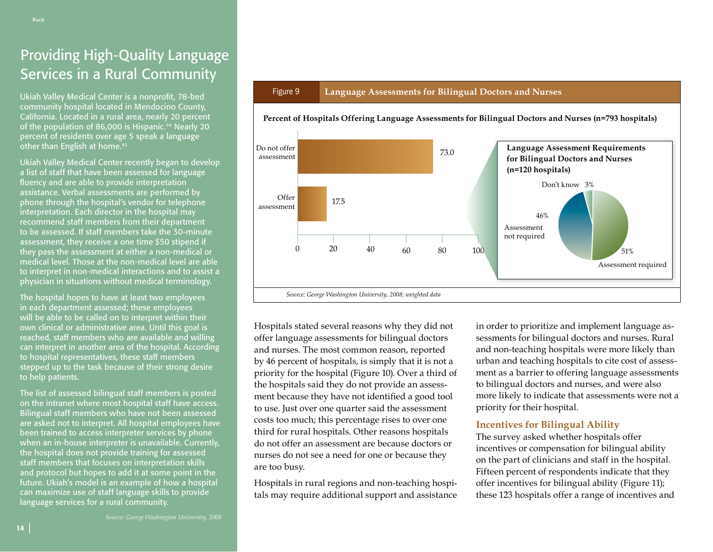# Providing High-Quality Language Services in a Rural Community

Ukiah Valley Medical Center is a nonprofit, 78-bed community hospital located in Mendocino County, California. Located in a rural area, nearly 20 percent of the population of 86,000 is Hispanic. 44 Nearly 20 percent of residents over age 5 speak a language other than English at home. 45

Ukiah Valley Medical Center recently began to develop a list of staff that have been assessed for language fluency and are able to provide interpretation assistance. Verbal assessments are performed by phone through the hospital's vendor for telephone interpretation. Each director in the hospital may recommend staff members from their department to be assessed. If staff members take the 30-minute assessment, they receive a one time \$50 stipend if they pass the assessment at either a non-medical or medical level. Those at the non-medical level are able to interpret in non-medical interactions and to assist a physician in situations without medical terminology.

The hospital hopes to have at least two employees in each department assessed; these employees will be able to be called on to interpret within their own clinical or administrative area. Until this goal is reached, staff members who are available and willing can interpret in another area of the hospital. According to hospital representatives, these staff members stepped up to the task because of their strong desire to help patients.

The list of assessed bilingual staff members is posted on the intranet where most hospital staff have access. Bilingual staff members who have not been assessed are asked not to interpret. All hospital employees have been trained to access interpreter services by phone when an in-house interpreter is unavailable. Currently, the hospital does not provide training for assessed staff members that focuses on interpretation skills and protocol but hopes to add it at some point in the future. Ukiah's model is an example of how a hospital can maximize use of staff language skills to provide language services for a rural community.

#### Figure 9 **Language Assessments for Bilingual Doctors and Nurses**



**Percent of Hospitals Offering Language Assessments for Bilingual Doctors and Nurses (n=793 hospitals)**

Hospitals stated several reasons why they did not offer language assessments for bilingual doctors and nurses. The most common reason, reported by 46 percent of hospitals, is simply that it is not a priority for the hospital (Figure 10). Over a third of the hospitals said they do not provide an assessment because they have not identified a good tool to use. Just over one quarter said the assessment costs too much; this percentage rises to over one third for rural hospitals. Other reasons hospitals do not offer an assessment are because doctors or nurses do not see a need for one or because they are too busy.

Hospitals in rural regions and non-teaching hospitals may require additional support and assistance

in order to prioritize and implement language assessments for bilingual doctors and nurses. Rural and non-teaching hospitals were more likely than urban and teaching hospitals to cite cost of assessment as a barrier to offering language assessments to bilingual doctors and nurses, and were also more likely to indicate that assessments were not a priority for their hospital.

#### **Incentives for Bilingual Ability**

The survey asked whether hospitals offer incentives or compensation for bilingual ability on the part of clinicians and staff in the hospital. Fifteen percent of respondents indicate that they offer incentives for bilingual ability (Figure 11); these 123 hospitals offer a range of incentives and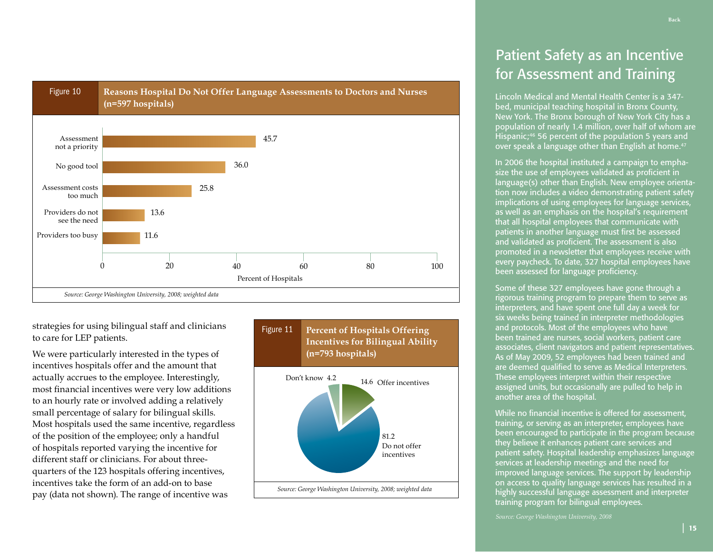

strategies for using bilingual staff and clinicians to care for LEP patients.

We were particularly interested in the types of incentives hospitals offer and the amount that actually accrues to the employee. Interestingly, most financial incentives were very low additions to an hourly rate or involved adding a relatively small percentage of salary for bilingual skills. Most hospitals used the same incentive, regardless of the position of the employee; only a handful of hospitals reported varying the incentive for different staff or clinicians. For about threequarters of the 123 hospitals offering incentives, incentives take the form of an add-on to base pay (data not shown). The range of incentive was



# Patient Safety as an Incentive for Assessment and Training

Lincoln Medical and Mental Health Center is a 347 bed, municipal teaching hospital in Bronx County, New York. The Bronx borough of New York City has a population of nearly 1.4 million, over half of whom are Hispanic;<sup>46</sup> 56 percent of the population 5 years and over speak a language other than English at home. 47

In 2006 the hospital instituted a campaign to emphasize the use of employees validated as proficient in language(s) other than English. New employee orientation now includes a video demonstrating patient safety implications of using employees for language services, as well as an emphasis on the hospital's requirement that all hospital employees that communicate with patients in another language must first be assessed and validated as proficient. The assessment is also promoted in a newsletter that employees receive with every paycheck. To date, 327 hospital employees have been assessed for language proficiency.

Some of these 327 employees have gone through a rigorous training program to prepare them to serve as interpreters, and have spent one full day a week for six weeks being trained in interpreter methodologies and protocols. Most of the employees who have been trained are nurses, social workers, patient care associates, client navigators and patient representatives. As of May 2009, 52 employees had been trained and are deemed qualified to serve as Medical Interpreters. These employees interpret within their respective assigned units, but occasionally are pulled to help in another area of the hospital.

While no financial incentive is offered for assessment, training, or serving as an interpreter, employees have been encouraged to participate in the program because they believe it enhances patient care services and patient safety. Hospital leadership emphasizes language services at leadership meetings and the need for improved language services. The support by leadership on access to quality language services has resulted in a highly successful language assessment and interpreter training program for bilingual employees.

*Source: George Washington University, 2008*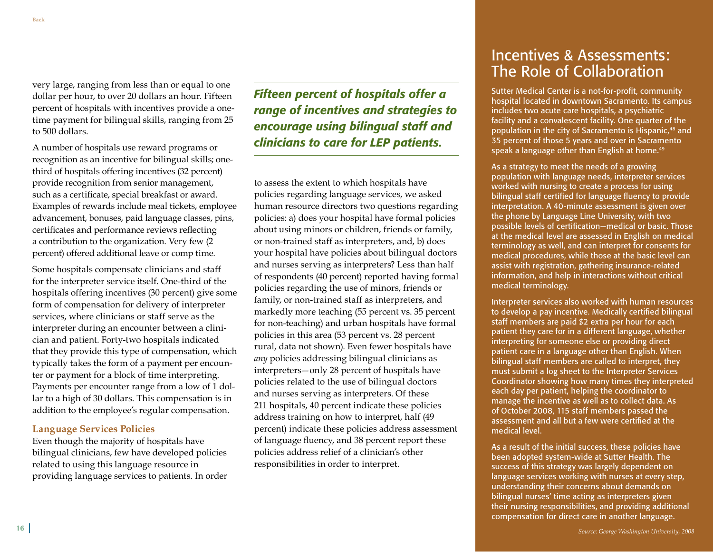very large, ranging from less than or equal to one dollar per hour, to over 20 dollars an hour. Fifteen percent of hospitals with incentives provide a onetime payment for bilingual skills, ranging from 25 to 500 dollars.

A number of hospitals use reward programs or recognition as an incentive for bilingual skills; onethird of hospitals offering incentives (32 percent) provide recognition from senior management, such as a certificate, special breakfast or award. Examples of rewards include meal tickets, employee advancement, bonuses, paid language classes, pins, certificates and performance reviews reflecting a contribution to the organization. Very few (2 percent) offered additional leave or comp time.

Some hospitals compensate clinicians and staff for the interpreter service itself. One-third of the hospitals offering incentives (30 percent) give some form of compensation for delivery of interpreter services, where clinicians or staff serve as the interpreter during an encounter between a clinician and patient. Forty-two hospitals indicated that they provide this type of compensation, which typically takes the form of a payment per encounter or payment for a block of time interpreting. Payments per encounter range from a low of 1 dollar to a high of 30 dollars. This compensation is in addition to the employee's regular compensation.

#### **Language Services Policies**

Even though the majority of hospitals have bilingual clinicians, few have developed policies related to using this language resource in providing language services to patients. In order *Fifteen percent of hospitals offer a range of incentives and strategies to encourage using bilingual staff and clinicians to care for LEP patients.*

to assess the extent to which hospitals have policies regarding language services, we asked human resource directors two questions regarding policies: a) does your hospital have formal policies about using minors or children, friends or family, or non-trained staff as interpreters, and, b) does your hospital have policies about bilingual doctors and nurses serving as interpreters? Less than half of respondents (40 percent) reported having formal policies regarding the use of minors, friends or family, or non-trained staff as interpreters, and markedly more teaching (55 percent vs. 35 percent for non-teaching) and urban hospitals have formal policies in this area (53 percent vs. 28 percent rural, data not shown). Even fewer hospitals have *any* policies addressing bilingual clinicians as interpreters—only 28 percent of hospitals have policies related to the use of bilingual doctors and nurses serving as interpreters. Of these 211 hospitals, 40 percent indicate these policies address training on how to interpret, half (49 percent) indicate these policies address assessment of language fluency, and 38 percent report these policies address relief of a clinician's other responsibilities in order to interpret.

# Incentives & Assessments: The Role of Collaboration

Sutter Medical Center is a not-for-profit, community hospital located in downtown Sacramento. Its campus includes two acute care hospitals, a psychiatric facility and a convalescent facility. One quarter of the population in the city of Sacramento is Hispanic,<sup>48</sup> and 35 percent of those 5 years and over in Sacramento speak a language other than English at home. 49

As a strategy to meet the needs of a growing population with language needs, interpreter services worked with nursing to create a process for using bilingual staff certified for language fluency to provide interpretation. A 40-minute assessment is given over the phone by Language Line University, with two possible levels of certification—medical or basic. Those at the medical level are assessed in English on medical terminology as well, and can interpret for consents for medical procedures, while those at the basic level can assist with registration, gathering insurance-related information, and help in interactions without critical medical terminology.

Interpreter services also worked with human resources to develop a pay incentive. Medically certified bilingual staff members are paid \$2 extra per hour for each patient they care for in a different language, whether interpreting for someone else or providing direct patient care in a language other than English. When bilingual staff members are called to interpret, they must submit a log sheet to the Interpreter Services Coordinator showing how many times they interpreted each day per patient, helping the coordinator to manage the incentive as well as to collect data. As of October 2008, 115 staff members passed the assessment and all but a few were certified at the medical level.

As a result of the initial success, these policies have been adopted system-wide at Sutter Health. The success of this strategy was largely dependent on language services working with nurses at every step, understanding their concerns about demands on bilingual nurses' time acting as interpreters given their nursing responsibilities, and providing additional compensation for direct care in another language.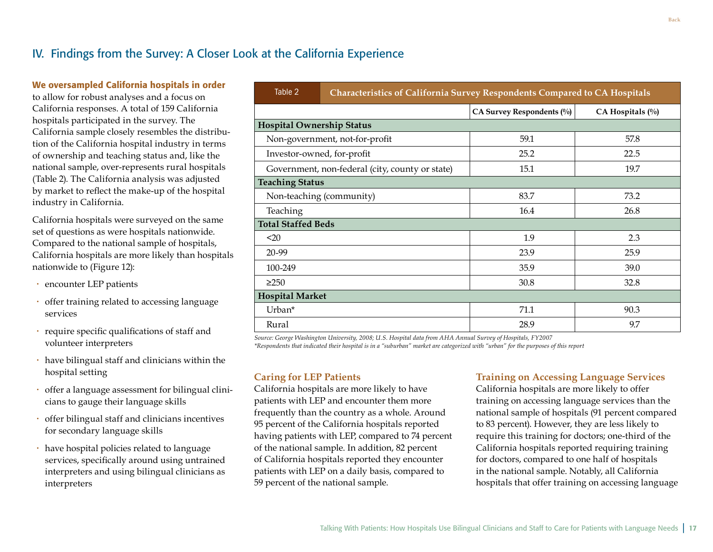# <span id="page-18-0"></span>IV. Findings from the Survey: A Closer Look at the California Experience

#### We oversampled California hospitals in order

to allow for robust analyses and a focus on California responses. A total of 159 California hospitals participated in the survey. The California sample closely resembles the distribution of the California hospital industry in terms of ownership and teaching status and, like the national sample, over-represents rural hospitals (Table 2). The California analysis was adjusted by market to reflect the make-up of the hospital industry in California.

California hospitals were surveyed on the same set of questions as were hospitals nationwide. Compared to the national sample of hospitals, California hospitals are more likely than hospitals nationwide to (Figure 12):

- encounter LEP patients
- offer training related to accessing language services
- require specific qualifications of staff and volunteer interpreters
- have bilingual staff and clinicians within the hospital setting
- offer a language assessment for bilingual clinicians to gauge their language skills
- offer bilingual staff and clinicians incentives for secondary language skills
- have hospital policies related to language services, specifically around using untrained interpreters and using bilingual clinicians as interpreters

| Table 2                                         | <b>Characteristics of California Survey Respondents Compared to CA Hospitals</b> |                           |                      |  |  |  |  |
|-------------------------------------------------|----------------------------------------------------------------------------------|---------------------------|----------------------|--|--|--|--|
|                                                 |                                                                                  | CA Survey Respondents (%) | $CA$ Hospitals $(\%$ |  |  |  |  |
| <b>Hospital Ownership Status</b>                |                                                                                  |                           |                      |  |  |  |  |
| Non-government, not-for-profit                  |                                                                                  | 59.1                      | 57.8                 |  |  |  |  |
| Investor-owned, for-profit                      |                                                                                  | 25.2                      | 22.5                 |  |  |  |  |
| Government, non-federal (city, county or state) |                                                                                  | 15.1                      | 19.7                 |  |  |  |  |
| <b>Teaching Status</b>                          |                                                                                  |                           |                      |  |  |  |  |
|                                                 | Non-teaching (community)                                                         | 83.7                      | 73.2                 |  |  |  |  |
| Teaching                                        |                                                                                  | 16.4                      | 26.8                 |  |  |  |  |
| <b>Total Staffed Beds</b>                       |                                                                                  |                           |                      |  |  |  |  |
| $20$                                            |                                                                                  | 1.9                       | 2.3                  |  |  |  |  |
| 20-99                                           |                                                                                  | 23.9                      | 25.9                 |  |  |  |  |
| 100-249                                         |                                                                                  | 35.9                      | 39.0                 |  |  |  |  |
| $\geq$ 250                                      |                                                                                  | 30.8                      | 32.8                 |  |  |  |  |
| <b>Hospital Market</b>                          |                                                                                  |                           |                      |  |  |  |  |
| Urban*                                          |                                                                                  | 71.1                      | 90.3                 |  |  |  |  |
| Rural                                           |                                                                                  | 28.9                      | 9.7                  |  |  |  |  |

*Source: George Washington University, 2008; U.S. Hospital data from AHA Annual Survey of Hospitals, FY2007 \*Respondents that indicated their hospital is in a "suburban" market are categorized with "urban" for the purposes of this report*

### **Caring for LEP Patients**

California hospitals are more likely to have patients with LEP and encounter them more frequently than the country as a whole. Around 95 percent of the California hospitals reported having patients with LEP, compared to 74 percent of the national sample. In addition, 82 percent of California hospitals reported they encounter patients with LEP on a daily basis, compared to 59 percent of the national sample.

### **Training on Accessing Language Services**

California hospitals are more likely to offer training on accessing language services than the national sample of hospitals (91 percent compared to 83 percent). However, they are less likely to require this training for doctors; one-third of the California hospitals reported requiring training for doctors, compared to one half of hospitals in the national sample. Notably, all California hospitals that offer training on accessing language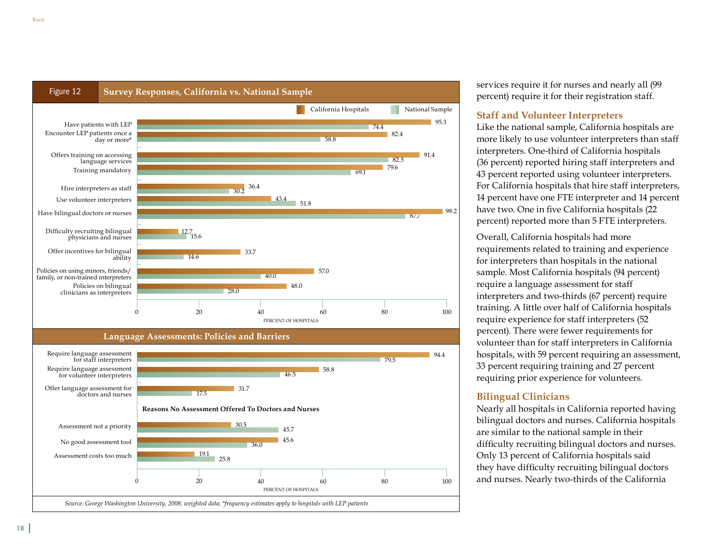

services require it for nurses and nearly all (99 percent) require it for their registration staff.

#### **Staff and Volunteer Interpreters**

Like the national sample, California hospitals are more likely to use volunteer interpreters than staff interpreters. One-third of California hospitals (36 percent) reported hiring staff interpreters and 43 percent reported using volunteer interpreters. For California hospitals that hire staff interpreters, 14 percent have one FTE interpreter and 14 percent have two. One in five California hospitals (22 percent) reported more than 5 FTE interpreters.

Overall, California hospitals had more requirements related to training and experience for interpreters than hospitals in the national sample. Most California hospitals (94 percent) require a language assessment for staff interpreters and two-thirds (67 percent) require training. A little over half of California hospitals require experience for staff interpreters (52 percent). There were fewer requirements for volunteer than for staff interpreters in California hospitals, with 59 percent requiring an assessment, 33 percent requiring training and 27 percent requiring prior experience for volunteers.

#### **Bilingual Clinicians**

Nearly all hospitals in California reported having bilingual doctors and nurses. California hospitals are similar to the national sample in their difficulty recruiting bilingual doctors and nurses. Only 13 percent of California hospitals said they have difficulty recruiting bilingual doctors and nurses. Nearly two-thirds of the California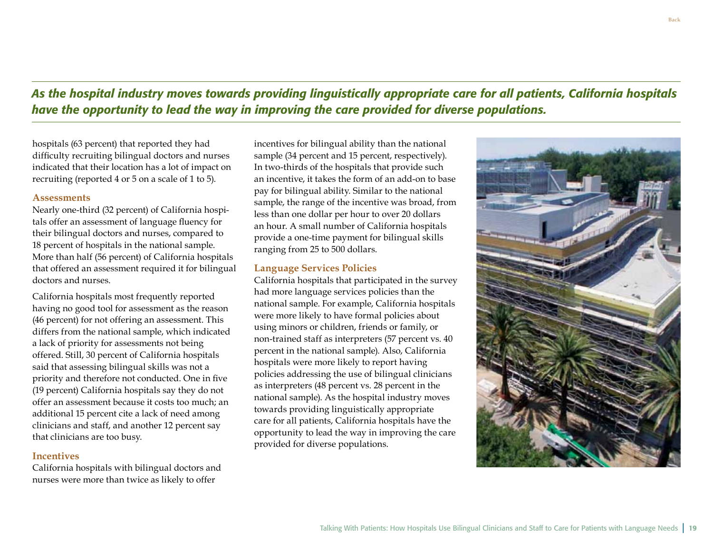*As the hospital industry moves towards providing linguistically appropriate care for all patients, California hospitals have the opportunity to lead the way in improving the care provided for diverse populations.*

hospitals (63 percent) that reported they had difficulty recruiting bilingual doctors and nurses indicated that their location has a lot of impact on recruiting (reported 4 or 5 on a scale of 1 to 5).

#### **Assessments**

Nearly one-third (32 percent) of California hospitals offer an assessment of language fluency for their bilingual doctors and nurses, compared to 18 percent of hospitals in the national sample. More than half (56 percent) of California hospitals that offered an assessment required it for bilingual doctors and nurses.

California hospitals most frequently reported having no good tool for assessment as the reason (46 percent) for not offering an assessment. This differs from the national sample, which indicated a lack of priority for assessments not being offered. Still, 30 percent of California hospitals said that assessing bilingual skills was not a priority and therefore not conducted. One in five (19 percent) California hospitals say they do not offer an assessment because it costs too much; an additional 15 percent cite a lack of need among clinicians and staff, and another 12 percent say that clinicians are too busy.

#### **Incentives**

California hospitals with bilingual doctors and nurses were more than twice as likely to offer

incentives for bilingual ability than the national sample (34 percent and 15 percent, respectively). In two-thirds of the hospitals that provide such an incentive, it takes the form of an add-on to base pay for bilingual ability. Similar to the national sample, the range of the incentive was broad, from less than one dollar per hour to over 20 dollars an hour. A small number of California hospitals provide a one-time payment for bilingual skills ranging from 25 to 500 dollars.

#### **Language Services Policies**

California hospitals that participated in the survey had more language services policies than the national sample. For example, California hospitals were more likely to have formal policies about using minors or children, friends or family, or non-trained staff as interpreters (57 percent vs. 40 percent in the national sample). Also, California hospitals were more likely to report having policies addressing the use of bilingual clinicians as interpreters (48 percent vs. 28 percent in the national sample). As the hospital industry moves towards providing linguistically appropriate care for all patients, California hospitals have the opportunity to lead the way in improving the care provided for diverse populations.

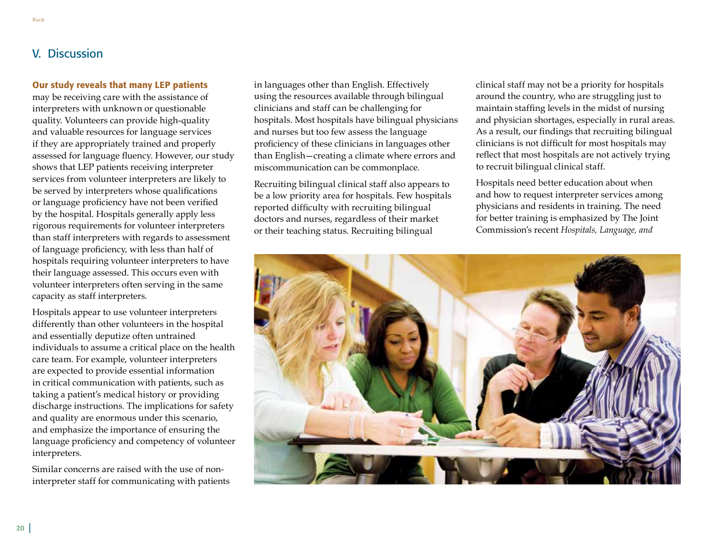# <span id="page-21-0"></span>V. Discussion

#### Our study reveals that many LEP patients

may be receiving care with the assistance of interpreters with unknown or questionable quality. Volunteers can provide high-quality and valuable resources for language services if they are appropriately trained and properly assessed for language fluency. However, our study shows that LEP patients receiving interpreter services from volunteer interpreters are likely to be served by interpreters whose qualifications or language proficiency have not been verified by the hospital. Hospitals generally apply less rigorous requirements for volunteer interpreters than staff interpreters with regards to assessment of language proficiency, with less than half of hospitals requiring volunteer interpreters to have their language assessed. This occurs even with volunteer interpreters often serving in the same capacity as staff interpreters.

Hospitals appear to use volunteer interpreters differently than other volunteers in the hospital and essentially deputize often untrained individuals to assume a critical place on the health care team. For example, volunteer interpreters are expected to provide essential information in critical communication with patients, such as taking a patient's medical history or providing discharge instructions. The implications for safety and quality are enormous under this scenario, and emphasize the importance of ensuring the language proficiency and competency of volunteer interpreters.

Similar concerns are raised with the use of noninterpreter staff for communicating with patients in languages other than English. Effectively using the resources available through bilingual clinicians and staff can be challenging for hospitals. Most hospitals have bilingual physicians and nurses but too few assess the language proficiency of these clinicians in languages other than English—creating a climate where errors and miscommunication can be commonplace.

Recruiting bilingual clinical staff also appears to be a low priority area for hospitals. Few hospitals reported difficulty with recruiting bilingual doctors and nurses, regardless of their market or their teaching status. Recruiting bilingual

clinical staff may not be a priority for hospitals around the country, who are struggling just to maintain staffing levels in the midst of nursing and physician shortages, especially in rural areas. As a result, our findings that recruiting bilingual clinicians is not difficult for most hospitals may reflect that most hospitals are not actively trying to recruit bilingual clinical staff.

Hospitals need better education about when and how to request interpreter services among physicians and residents in training. The need for better training is emphasized by The Joint Commission's recent *Hospitals, Language, and* 

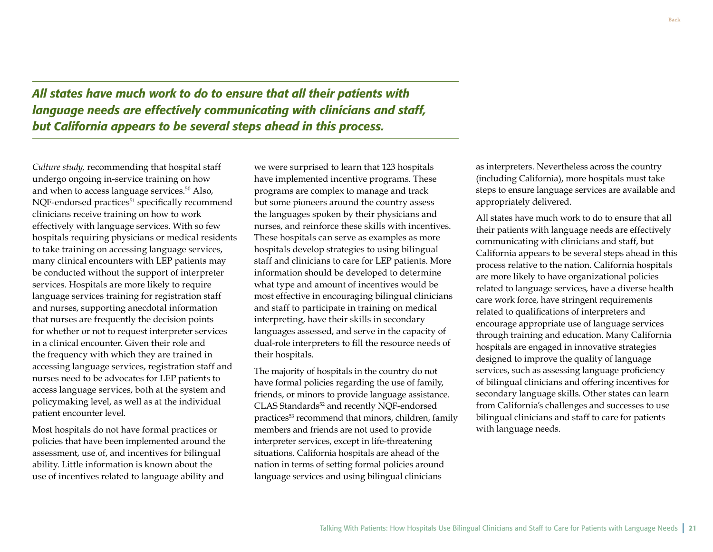*All states have much work to do to ensure that all their patients with language needs are effectively communicating with clinicians and staff, but California appears to be several steps ahead in this process.* 

*Culture study,* recommending that hospital staff undergo ongoing in-service training on how and when to access language services.<sup>50</sup> Also, NQF-endorsed practices<sup>51</sup> specifically recommend clinicians receive training on how to work effectively with language services. With so few hospitals requiring physicians or medical residents to take training on accessing language services, many clinical encounters with LEP patients may be conducted without the support of interpreter services. Hospitals are more likely to require language services training for registration staff and nurses, supporting anecdotal information that nurses are frequently the decision points for whether or not to request interpreter services in a clinical encounter. Given their role and the frequency with which they are trained in accessing language services, registration staff and nurses need to be advocates for LEP patients to access language services, both at the system and policymaking level, as well as at the individual patient encounter level.

Most hospitals do not have formal practices or policies that have been implemented around the assessment, use of, and incentives for bilingual ability. Little information is known about the use of incentives related to language ability and

we were surprised to learn that 123 hospitals have implemented incentive programs. These programs are complex to manage and track but some pioneers around the country assess the languages spoken by their physicians and nurses, and reinforce these skills with incentives. These hospitals can serve as examples as more hospitals develop strategies to using bilingual staff and clinicians to care for LEP patients. More information should be developed to determine what type and amount of incentives would be most effective in encouraging bilingual clinicians and staff to participate in training on medical interpreting, have their skills in secondary languages assessed, and serve in the capacity of dual-role interpreters to fill the resource needs of their hospitals.

The majority of hospitals in the country do not have formal policies regarding the use of family, friends, or minors to provide language assistance. CLAS Standards<sup>52</sup> and recently NOF-endorsed practices<sup>53</sup> recommend that minors, children, family members and friends are not used to provide interpreter services, except in life-threatening situations. California hospitals are ahead of the nation in terms of setting formal policies around language services and using bilingual clinicians

as interpreters. Nevertheless across the country (including California), more hospitals must take steps to ensure language services are available and appropriately delivered.

All states have much work to do to ensure that all their patients with language needs are effectively communicating with clinicians and staff, but California appears to be several steps ahead in this process relative to the nation. California hospitals are more likely to have organizational policies related to language services, have a diverse health care work force, have stringent requirements related to qualifications of interpreters and encourage appropriate use of language services through training and education. Many California hospitals are engaged in innovative strategies designed to improve the quality of language services, such as assessing language proficiency of bilingual clinicians and offering incentives for secondary language skills. Other states can learn from California's challenges and successes to use bilingual clinicians and staff to care for patients with language needs.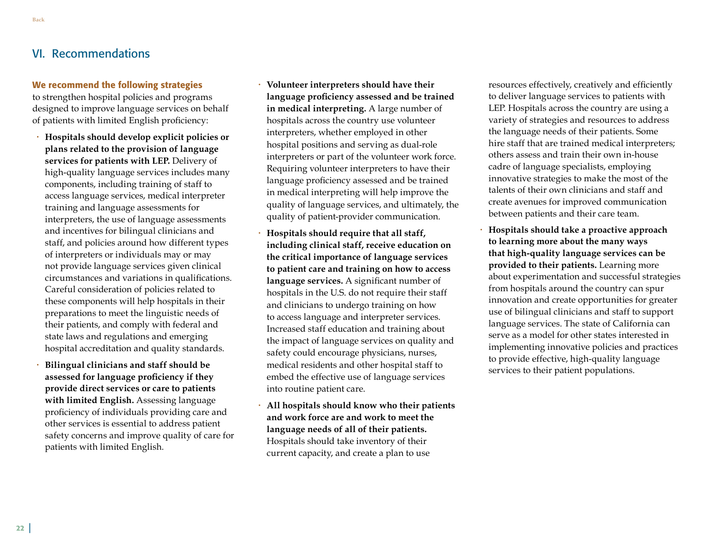# <span id="page-23-0"></span>VI. Recommendations

#### We recommend the following strategies

to strengthen hospital policies and programs designed to improve language services on behalf of patients with limited English proficiency:

- **Hospitals should develop explicit policies or plans related to the provision of language services for patients with LEP.** Delivery of high-quality language services includes many components, including training of staff to access language services, medical interpreter training and language assessments for interpreters, the use of language assessments and incentives for bilingual clinicians and staff, and policies around how different types of interpreters or individuals may or may not provide language services given clinical circumstances and variations in qualifications. Careful consideration of policies related to these components will help hospitals in their preparations to meet the linguistic needs of their patients, and comply with federal and state laws and regulations and emerging hospital accreditation and quality standards.
- **Bilingual clinicians and staff should be assessed for language proficiency if they provide direct services or care to patients with limited English.** Assessing language proficiency of individuals providing care and other services is essential to address patient safety concerns and improve quality of care for patients with limited English.
- **Volunteer interpreters should have their language proficiency assessed and be trained in medical interpreting.** A large number of hospitals across the country use volunteer interpreters, whether employed in other hospital positions and serving as dual-role interpreters or part of the volunteer work force. Requiring volunteer interpreters to have their language proficiency assessed and be trained in medical interpreting will help improve the quality of language services, and ultimately, the quality of patient-provider communication.
- **Hospitals should require that all staff, including clinical staff, receive education on the critical importance of language services to patient care and training on how to access language services.** A significant number of hospitals in the U.S. do not require their staff and clinicians to undergo training on how to access language and interpreter services. Increased staff education and training about the impact of language services on quality and safety could encourage physicians, nurses, medical residents and other hospital staff to embed the effective use of language services into routine patient care.
- **All hospitals should know who their patients and work force are and work to meet the language needs of all of their patients.** Hospitals should take inventory of their current capacity, and create a plan to use

resources effectively, creatively and efficiently to deliver language services to patients with LEP. Hospitals across the country are using a variety of strategies and resources to address the language needs of their patients. Some hire staff that are trained medical interpreters; others assess and train their own in-house cadre of language specialists, employing innovative strategies to make the most of the talents of their own clinicians and staff and create avenues for improved communication between patients and their care team.

• **Hospitals should take a proactive approach to learning more about the many ways that high-quality language services can be provided to their patients.** Learning more about experimentation and successful strategies from hospitals around the country can spur innovation and create opportunities for greater use of bilingual clinicians and staff to support language services. The state of California can serve as a model for other states interested in implementing innovative policies and practices to provide effective, high-quality language services to their patient populations.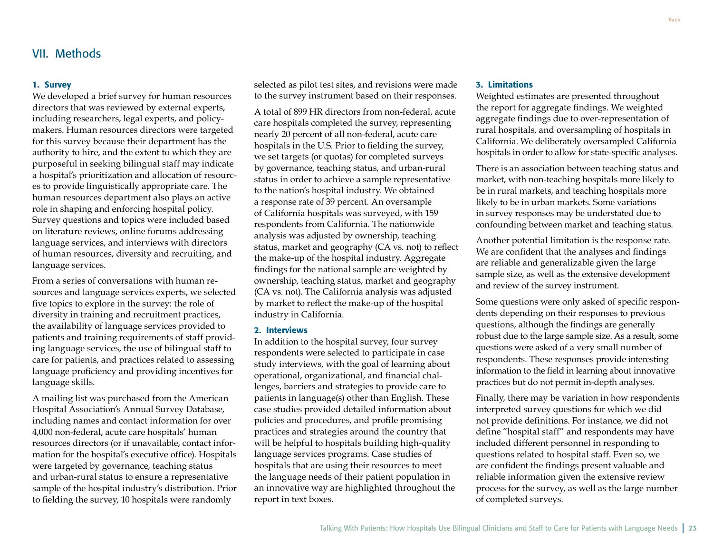#### <span id="page-24-0"></span>1. Survey

We developed a brief survey for human resources directors that was reviewed by external experts, including researchers, legal experts, and policymakers. Human resources directors were targeted for this survey because their department has the authority to hire, and the extent to which they are purposeful in seeking bilingual staff may indicate a hospital's prioritization and allocation of resources to provide linguistically appropriate care. The human resources department also plays an active role in shaping and enforcing hospital policy. Survey questions and topics were included based on literature reviews, online forums addressing language services, and interviews with directors of human resources, diversity and recruiting, and language services.

From a series of conversations with human resources and language services experts, we selected five topics to explore in the survey: the role of diversity in training and recruitment practices, the availability of language services provided to patients and training requirements of staff providing language services, the use of bilingual staff to care for patients, and practices related to assessing language proficiency and providing incentives for language skills.

A mailing list was purchased from the American Hospital Association's Annual Survey Database, including names and contact information for over 4,000 non-federal, acute care hospitals' human resources directors (or if unavailable, contact information for the hospital's executive office). Hospitals were targeted by governance, teaching status and urban-rural status to ensure a representative sample of the hospital industry's distribution. Prior to fielding the survey, 10 hospitals were randomly

selected as pilot test sites, and revisions were made to the survey instrument based on their responses.

A total of 899 HR directors from non-federal, acute care hospitals completed the survey, representing nearly 20 percent of all non-federal, acute care hospitals in the U.S. Prior to fielding the survey, we set targets (or quotas) for completed surveys by governance, teaching status, and urban-rural status in order to achieve a sample representative to the nation's hospital industry. We obtained a response rate of 39 percent. An oversample of California hospitals was surveyed, with 159 respondents from California. The nationwide analysis was adjusted by ownership, teaching status, market and geography (CA vs. not) to reflect the make-up of the hospital industry. Aggregate findings for the national sample are weighted by ownership, teaching status, market and geography (CA vs. not). The California analysis was adjusted by market to reflect the make-up of the hospital industry in California.

#### 2. Interviews

In addition to the hospital survey, four survey respondents were selected to participate in case study interviews, with the goal of learning about operational, organizational, and financial challenges, barriers and strategies to provide care to patients in language(s) other than English. These case studies provided detailed information about policies and procedures, and profile promising practices and strategies around the country that will be helpful to hospitals building high-quality language services programs. Case studies of hospitals that are using their resources to meet the language needs of their patient population in an innovative way are highlighted throughout the report in text boxes.

#### 3. Limitations

Weighted estimates are presented throughout the report for aggregate findings. We weighted aggregate findings due to over-representation of rural hospitals, and oversampling of hospitals in California. We deliberately oversampled California hospitals in order to allow for state-specific analyses.

There is an association between teaching status and market, with non-teaching hospitals more likely to be in rural markets, and teaching hospitals more likely to be in urban markets. Some variations in survey responses may be understated due to confounding between market and teaching status.

Another potential limitation is the response rate. We are confident that the analyses and findings are reliable and generalizable given the large sample size, as well as the extensive development and review of the survey instrument.

Some questions were only asked of specific respondents depending on their responses to previous questions, although the findings are generally robust due to the large sample size. As a result, some questions were asked of a very small number of respondents. These responses provide interesting information to the field in learning about innovative practices but do not permit in-depth analyses.

Finally, there may be variation in how respondents interpreted survey questions for which we did not provide definitions. For instance, we did not define "hospital staff" and respondents may have included different personnel in responding to questions related to hospital staff. Even so, we are confident the findings present valuable and reliable information given the extensive review process for the survey, as well as the large number of completed surveys.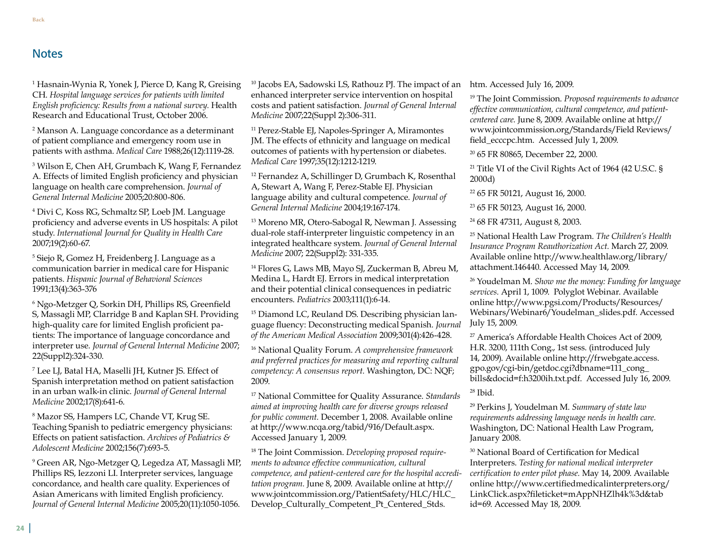### <span id="page-25-0"></span>**Notes**

1 Hasnain-Wynia R, Yonek J, Pierce D, Kang R, Greising CH. *Hospital language services for patients with limited English proficiency: Results from a national survey.* Health Research and Educational Trust, October 2006.

2 Manson A. Language concordance as a determinant of patient compliance and emergency room use in patients with asthma. *Medical Care* 1988;26(12):1119-28.

3 Wilson E, Chen AH, Grumbach K, Wang F, Fernandez A. Effects of limited English proficiency and physician language on health care comprehension. *Journal of General Internal Medicine* 2005;20:800-806.

4 Divi C, Koss RG, Schmaltz SP, Loeb JM. Language proficiency and adverse events in US hospitals: A pilot study. *International Journal for Quality in Health Care* 2007;19(2):60-67.

5 Siejo R, Gomez H, Freidenberg J. Language as a communication barrier in medical care for Hispanic patients. *Hispanic Journal of Behavioral Sciences* 1991;13(4):363-376

6 Ngo-Metzger Q, Sorkin DH, Phillips RS, Greenfield S, Massagli MP, Clarridge B and Kaplan SH. Providing high-quality care for limited English proficient patients: The importance of language concordance and interpreter use. *Journal of General Internal Medicine* 2007; 22(Suppl2):324-330.

7 Lee LJ, Batal HA, Maselli JH, Kutner JS. Effect of Spanish interpretation method on patient satisfaction in an urban walk-in clinic. *Journal of General Internal Medicine* 2002;17(8):641-6.

8 Mazor SS, Hampers LC, Chande VT, Krug SE. Teaching Spanish to pediatric emergency physicians: Effects on patient satisfaction. *Archives of Pediatrics & Adolescent Medicine* 2002;156(7):693-5.

9 Green AR, Ngo-Metzger Q, Legedza AT, Massagli MP, Phillips RS, Iezzoni LI. Interpreter services, language concordance, and health care quality. Experiences of Asian Americans with limited English proficiency. *Journal of General Internal Medicine* 2005;20(11):1050-1056.

10 Jacobs EA, Sadowski LS, Rathouz PJ. The impact of an enhanced interpreter service intervention on hospital costs and patient satisfaction. *Journal of General Internal Medicine* 2007;22(Suppl 2):306-311.

<sup>11</sup> Perez-Stable EJ, Napoles-Springer A, Miramontes JM. The effects of ethnicity and language on medical outcomes of patients with hypertension or diabetes. *Medical Care* 1997;35(12):1212-1219.

12 Fernandez A, Schillinger D, Grumbach K, Rosenthal A, Stewart A, Wang F, Perez-Stable EJ. Physician language ability and cultural competence. *Journal of General Internal Medicine* 2004;19:167-174.

<sup>13</sup> Moreno MR, Otero-Sabogal R, Newman J. Assessing dual-role staff-interpreter linguistic competency in an integrated healthcare system. *Journal of General Internal Medicine* 2007; 22(Suppl2): 331-335.

<sup>14</sup> Flores G, Laws MB, Mayo SJ, Zuckerman B, Abreu M, Medina L, Hardt EJ. Errors in medical interpretation and their potential clinical consequences in pediatric encounters. *Pediatrics* 2003;111(1):6-14.

15 Diamond LC, Reuland DS. Describing physician language fluency: Deconstructing medical Spanish. *Journal of the American Medical Association* 2009;301(4):426-428.

16 National Quality Forum. *A comprehensive framework and preferred practices for measuring and reporting cultural competency: A consensus report.* Washington, DC: NQF; 2009.

17 National Committee for Quality Assurance. *Standards aimed at improving health care for diverse groups released for public comment.* December 1, 2008. Available online at http://www.ncqa.org/tabid/916/Default.aspx. Accessed January 1, 2009.

18 The Joint Commission. *Developing proposed requirements to advance effective communication, cultural competence, and patient-centered care for the hospital accreditation program.* June 8, 2009. Available online at http:// www.jointcommission.org/PatientSafety/HLC/HLC\_ Develop\_Culturally\_Competent\_Pt\_Centered\_Stds.

htm. Accessed July 16, 2009.

19 The Joint Commission. *Proposed requirements to advance effective communication, cultural competence, and patientcentered care.* June 8, 2009. Available online at http:// www.jointcommission.org/Standards/Field Reviews/ field\_ecccpc.htm. Accessed July 1, 2009.

20 65 FR 80865, December 22, 2000.

<sup>21</sup> Title VI of the Civil Rights Act of 1964 (42 U.S.C. § 2000d)

22 65 FR 50121, August 16, 2000.

23 65 FR 50123, August 16, 2000.

24 68 FR 47311, August 8, 2003.

25 National Health Law Program. *The Children's Health Insurance Program Reauthorization Act.* March 27, 2009. Available online http://www.healthlaw.org/library/ attachment.146440. Accessed May 14, 2009.

26 Youdelman M. *Show me the money: Funding for language services.* April 1, 1009. Polyglot Webinar. Available online http://www.pgsi.com/Products/Resources/ Webinars/Webinar6/Youdelman\_slides.pdf. Accessed July 15, 2009.

27 America's Affordable Health Choices Act of 2009, H.R. 3200, 111th Cong., 1st sess. (introduced July 14, 2009). Available online http://frwebgate.access. gpo.gov/cgi-bin/getdoc.cgi?dbname=111\_cong\_ bills&docid=f:h3200ih.txt.pdf. Accessed July 16, 2009.

28 Ibid.

29 Perkins J, Youdelman M. *Summary of state law requirements addressing language needs in health care.* Washington, DC: National Health Law Program, January 2008.

30 National Board of Certification for Medical Interpreters. *Testing for national medical interpreter certification to enter pilot phase.* May 14, 2009. Available online http://www.certifiedmedicalinterpreters.org/ LinkClick.aspx?fileticket=mAppNHZlh4k%3d&tab id=69. Accessed May 18, 2009.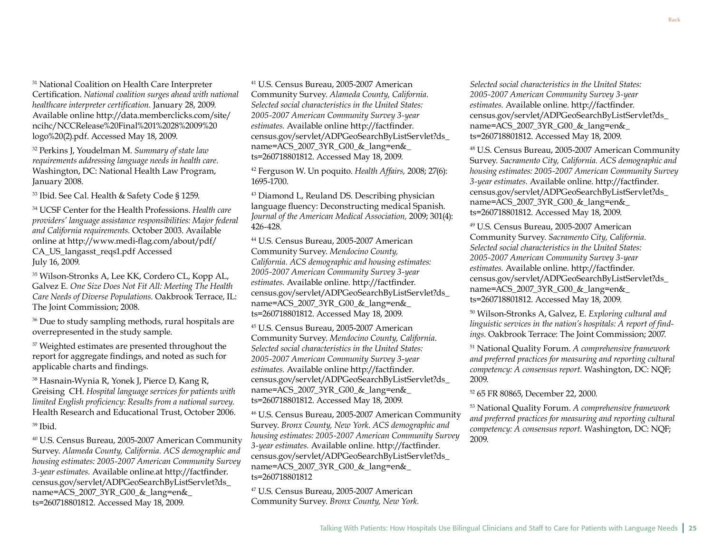<sup>31</sup> National Coalition on Health Care Interpreter Certification. *National coalition surges ahead with national healthcare interpreter certification.* January 28, 2009. Available online http://data.memberclicks.com/site/ ncihc/NCCRelease%20Final%201%2028%2009%20 logo%20(2).pdf. Accessed May 18, 2009.

32 Perkins J, Youdelman M. *Summary of state law requirements addressing language needs in health care.* Washington, DC: National Health Law Program, January 2008.

33 Ibid. See Cal. Health & Safety Code § 1259.

34 UCSF Center for the Health Professions. *Health care providers' language assistance responsibilities: Major federal and California requirements.* October 2003. Available online at http://www.medi-flag.com/about/pdf/ CA\_US\_langasst\_reqs1.pdf Accessed July 16, 2009.

35 Wilson-Stronks A, Lee KK, Cordero CL, Kopp AL, Galvez E. *One Size Does Not Fit All: Meeting The Health Care Needs of Diverse Populations.* Oakbrook Terrace, IL: The Joint Commission; 2008.

<sup>36</sup> Due to study sampling methods, rural hospitals are overrepresented in the study sample.

<sup>37</sup> Weighted estimates are presented throughout the report for aggregate findings, and noted as such for applicable charts and findings.

38 Hasnain-Wynia R, Yonek J, Pierce D, Kang R, Greising CH. *Hospital language services for patients with limited English proficiency: Results from a national survey.* Health Research and Educational Trust, October 2006. 39 Ibid.

40 U.S. Census Bureau, 2005-2007 American Community Survey. *Alameda County, California. ACS demographic and housing estimates: 2005-2007 American Community Survey 3-year estimates.* Available online.at http://factfinder. census.gov/servlet/ADPGeoSearchByListServlet?ds\_ name=ACS\_2007\_3YR\_G00\_&\_lang=en& ts=260718801812. Accessed May 18, 2009.

41 U.S. Census Bureau, 2005-2007 American Community Survey. *Alameda County, California. Selected social characteristics in the United States: 2005-2007 American Community Survey 3-year estimates.* Available online http://factfinder. census.gov/servlet/ADPGeoSearchByListServlet?ds\_ name=ACS\_2007\_3YR\_G00\_&\_lang=en&\_ ts=260718801812. Accessed May 18, 2009.

42 Ferguson W. Un poquito. *Health Affairs,* 2008; 27(6): 1695-1700.

43 Diamond L, Reuland DS. Describing physician language fluency: Deconstructing medical Spanish. *Journal of the American Medical Association,* 2009; 301(4): 426-428.

44 U.S. Census Bureau, 2005-2007 American Community Survey. *Mendocino County, California. ACS demographic and housing estimates: 2005-2007 American Community Survey 3-year estimates.* Available online. http://factfinder. census.gov/servlet/ADPGeoSearchByListServlet?ds\_ name=ACS\_2007\_3YR\_G00\_&\_lang=en& ts=260718801812. Accessed May 18, 2009.

45 U.S. Census Bureau, 2005-2007 American Community Survey. *Mendocino County, California. Selected social characteristics in the United States: 2005-2007 American Community Survey 3-year estimates.* Available online http://factfinder. census.gov/servlet/ADPGeoSearchByListServlet?ds\_ name=ACS\_2007\_3YR\_G00\_&\_lang=en&\_ ts=260718801812. Accessed May 18, 2009.

46 U.S. Census Bureau, 2005-2007 American Community Survey. *Bronx County, New York. ACS demographic and housing estimates: 2005-2007 American Community Survey 3-year estimates.* Available online. http://factfinder. census.gov/servlet/ADPGeoSearchByListServlet?ds\_ name=ACS\_2007\_3YR\_G00\_&\_lang=en&\_ ts=260718801812

47 U.S. Census Bureau, 2005-2007 American Community Survey. *Bronx County, New York.* 

*Selected social characteristics in the United States: 2005-2007 American Community Survey 3-year estimates.* Available online. http://factfinder. census.gov/servlet/ADPGeoSearchByListServlet?ds\_ name=ACS\_2007\_3YR\_G00\_&\_lang=en& ts=260718801812. Accessed May 18, 2009.

48 U.S. Census Bureau, 2005-2007 American Community Survey. *Sacramento City, California. ACS demographic and housing estimates: 2005-2007 American Community Survey 3-year estimates.* Available online. http://factfinder. census.gov/servlet/ADPGeoSearchByListServlet?ds\_ name=ACS\_2007\_3YR\_G00\_&\_lang=en&\_ ts=260718801812. Accessed May 18, 2009.

49 U.S. Census Bureau, 2005-2007 American Community Survey. *Sacramento City, California. Selected social characteristics in the United States: 2005-2007 American Community Survey 3-year estimates.* Available online. http://factfinder. census.gov/servlet/ADPGeoSearchByListServlet?ds\_ name=ACS\_2007\_3YR\_G00\_&\_lang=en& ts=260718801812. Accessed May 18, 2009.

50 Wilson-Stronks A, Galvez, E. *Exploring cultural and linguistic services in the nation's hospitals: A report of findings.* Oakbrook Terrace: The Joint Commission; 2007.

51 National Quality Forum. *A comprehensive framework and preferred practices for measuring and reporting cultural competency: A consensus report.* Washington, DC: NQF; 2009.

52 65 FR 80865, December 22, 2000.

53 National Quality Forum. *A comprehensive framework and preferred practices for measuring and reporting cultural competency: A consensus report.* Washington, DC: NQF; 2009.